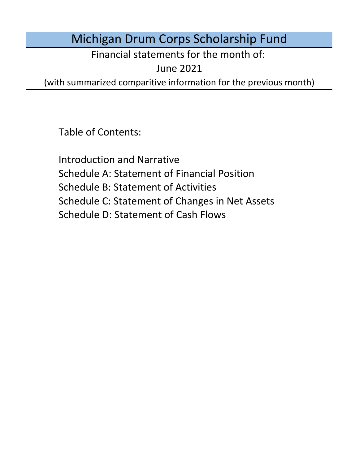# Michigan Drum Corps Scholarship Fund

Financial statements for the month of:

June 2021

(with summarized comparitive information for the previous month)

Table of Contents:

Schedule D: Statement of Cash Flows Introduction and Narrative Schedule A: Statement of Financial Position Schedule B: Statement of Activities Schedule C: Statement of Changes in Net Assets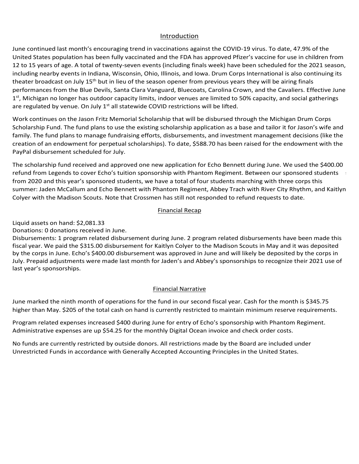### Introduction Introduction Introduction

Introduction<br>June continued last month's encouraging trend in vaccinations against the COVID-19 virus. To date, 47.9% of the Introduction<br>June continued last month's encouraging trend in vaccinations against the COVID-19 virus. To date, 47.9% of the<br>United States population has been fully vaccinated and the FDA has approved Pfizer's vaccine for 12 to 15 years of age. A total of twenty-seven events (including finals week) have been scheduled for the 2021 season, including nearby events in Indiana, Wisconsin, Ohio, Illinois, and Iowa. Drum Corps International is also continuing its theater broadcast on July 15° but in lieu of the season opener from previous years they will be airing mials<br>performances from the Blue Devils, Santa Clara Vanguard, Bluecoats, Carolina Crown, and the Cavaliers. Effective Light moning and honger has successed as a processed on the two states on the state of the state of the state o performances from the Blue Devils, Santa Clara Vanguard, Bluecoats, Carolina Crown, and the Cavaliers. Effective Jun<br>1<sup>st</sup>, Michigan no longer has outdoor capacity limits, indoor venues are limited to 50% capacity, and soc performances from the bide bevils, santa clara valiguard, bidecoats, carolina crown, and the cavaliers. Effective function of the cavaliers of the cavaliers of the cavaliers of the cavaliers of the cavaliers of the cavalie assignments, statistics, and a webinar series for members. Based on the quality and scale of the quality and scale of the  $\alpha$ has been fully vaccinated and the FDA has approved Pfizer's vaccine for use in children from<br>thaliana, Wisconsin, Ohio, Illinois, and lowa. Drum Corps International is also continuing its<br>15<sup>th</sup> but in lieu of the season o right trend in vaccinations against the COVID-19 virus. To date, 47.9% of the using thy yecome events (including finals week) have been scheduled for the sin bildren fro<br>ty-seven events (including finals week) have been sc theater broadcast on July 15<sup>th</sup> but in lieu of the season opener from previous years they will be airing finals on September 28th Windows Capacity 28th Winternational Committee to bow capacity, and social gatherings through the cancellated by women On July 1st all statewide COVID restrictions will be lifted  $202$  season. Virtual events with  $\frac{1}{2}$  and state wide completentially will be integrated. the member on DCI's into build update the board of the board opened to book the board opened scholarship and the 2021 season to the 2021 season to the 2021 season to the 2021 season to the 2021 season to the 2021 season to are regarded by vender on . provided. With the angle that batabor depenty initial provided to minical to boys depenty, and bodies gettions, are regarded by venue, on sury  $\pm$  an state which corrid restrictions will be integr. world compared compared corps corps and eight operations in the cancelled the minicial corps capacity, and books pathermic and the cancelled the venue. On July 1st all statements COVID restrictions will be lifted. are regulated by venue. On July 1<sup>st</sup> all statewide COVID restrictions will be lifted.

are regulated by venue. On July 1<sup>st</sup> all statewide COVID restrictions will be lifted.<br>Work continues on the Jason Fritz Memorial Scholarship that will be disbursed through the Michigan Drum Corps creation of an endowment for perpetual scholarships). To date, \$588.70 has been raised for the endowment witl<br>PayPal disbursement scheduled for July. PayPal disbursement scheduled for July.<br>The first declared its declared for the fund under its declared fiscal year. Cash for the fund under its declare Scholarship Fund. The fund plans to use the existing scholarship and will be displained alreagn the Michigan Drum Corps<br>family. The fund plans to manage fundraising efforts, disbursements, and investment management decisio family. The fund plans to manage fundraising efforts, disbursements, and investment management decisions (like the<br>creation of an endowment for perpetual scholarships). To date, \$588.70 has been raised for the endowment wi creation of an endowment for perpetual scholarships). To date, \$588.70 has been raised for the endowment with the<br>PayPal disbursement scheduled for July. and outside outreach efforts, and only considered competition between  $\mathcal{L}$ conductivirum sites will be more different to find, and an increased emphasis on  $\mathcal{L}$ Fayr and Bioding emerge sendidated for bany. The significant positive December 3rd, Drum Corps Internations will be disbursed through the Michigan Drum Corps<br>olarship Fund. The fund plans to use the existing scholarship application as a base and tailor it for Jason's PayPal disbursement scheduled for July.<br>PayPal disbursement scheduled for July. instruction sessions. River Continues to host their Representation of the Experience and Distant Harmonies and <br>Harmonies to host the Experience and Distant Harmonies and Distant Harmonies and Distant Harmonies and Distanc |<br>Work continues on the Jason Fritz Memorial Scholarship that will be disbursed through the Michigan Drum Corps The Crossmen announced The Collective as the Collective as the Collective auditions, monthly classes, and private  $\mathcal{L}$ month characterized change in contact with all sponsored students from the 2020 season as we prepare for the 2020 season as we prepare for the 2020 season as we prepare for the 2020 season as we prepare for the 2020 season

The scholarship fund received and approved one new application for Echo Bennett during June. We used the \$400.00 refund from Legends to cover Echo's tuition sponsorship with Phantom Regiment. Between our sponsored students from 2020 and this year's sponsored students, we have a total of four students marching with three corps this<br>summer: Jaden McCallum and Echo Bennett with Phantom Regiment, Abbey Trach with River City Rhythm, and Kaitlyn<br>C colver with the Madison Scouts. Note that Crossmen has still not responded to refund requests to date. to increase in February following the recommended disbursement for the three applications received Program expenses are expected to increase in future months proportional to donations received. from 2020 and this year's sponsored students, we have a total of four students marching with three corps this<br>example in the contract of the contract of the contract of the contract of the contract of the contract of the related expenses increased \$1,140 for tuition disbursements during March. Administrative Colyer with the Madison Scouts. Note that Crossmen has still not respon<br> Sammers saach mecanam and Echo Bennett with mantom regiment, Abbey Trach with hiver eity hirythin, and hartly<br>Colver with the Madicon Scouts. Note that Cressmon bas still not responded to refund requests to date following the meeting of oboard more that drogather has dim not responded to relate requests to date. Colyer with the Madison Scouts. Note that Crossmen has still not responded to refund requests to date. Cavaliers, Colts, Madison Scouts, and Phantom Regiment in their respective home regions. All of our sponsored participating with River City Rhythm and Jaden McCallum will be participating with Phantom Regiment. We will be Bennett's unused scholarship. Crossmen has not responded to refund requests to date. Colyer with the Madison Scouts. Note that Crossmen has still not responded to refund requests to date.

### expenses are up the monthly Digital Ocean involvement in the monthly Digital Ocean involvement in the business checking account. The business checking account in the business checking account. The business checking account <u>Financial Recapture (September 2005)</u><br>2006 - Paul Barbara (September 2006)<br>2006 - Paul Barbara (September 2006) <u>Parameter received in December and transferred during January.</u> receiving a \$400.00 refund from Legends for Echo Bennett's unused scholarship payment but Crossmen has not

 $\sim$  funds are currently restricted by outside donors. All restrictions made by the Board are included under under under under under under under under under under under under under under under under under under under unde With the cancellation of the 2020 season, program expenses are expected to either remain at the year-to-Disbursements: 0 program related disbursements during June. Donations: 0 donations received during July. Donations: 4 PayPal donations transferred in November. Disbursements: 0 program related disbursements during December. 0 program related disbursements made this fiscal Liquid assets on hand: \$1376.43 \$1,735.58 Liquid assets on hand: \$1297.63

minimum reserve requirements.

\$830.00 when they are received.

minimum reserve requirements.

Liquid assets on hand: \$536.83

Liquid assets on hand: \$1291.63

during January.

requirements.

Liquid assets on nanu. 52,061.33<br>Donations: 0 donations received in June. Financial Recap<br>\$2,081.33<br>s received in June.

responded to refund requests to date.

Donations: 0 donations received during June.

parties as more information becomes available.

Disbursements: 1 program related disbursement during June. 2 program related disbursements have been made this<br>Disbursements: 1 program related disbursement during June. 2 program related disbursements have been made this fiscal year. We paid the \$315.00 disbursement for Kaitlyn Colyer to the Madison Scouts in May and it was deposited fiscal year. We paid the \$315.00 disbursement for Kaitlyn Colyer to the Madison Scouts in May and it was deposited<br>by the corps in June. Echo's \$400.00 disbursement was approved in June and will likely be deposited by the by the corporation can be to be received about sentent was approved in same and will likely be deposited by the corporation<br>Luly. Prepaid adjustments were made last month for Jaden's and Abbey's sponsorships to recognize t last year's sponsorships.<br>
ast year's sponsorships. the business checking account. With the cancellation of the 2020 season, program expenses are expected Einancial Recap<br>
2,081.33<br>
eceived in June.<br>
m related disbursement during June. 2 progress<br>
215.00 disbursement for Kaitlyn Colyer to the  $l_{\text{SPI}}$ Disbursements: 1 program related disbursement during June. 2 program related disbursements have been made this July. Prepaid adjustments were made last month for Jaden's and Abbey's sponsorships to recognize their 2021 use c<br>last vear's sponsorshins …<br>e of July. Prepaid adjustments were made last month for Jaden's and Abbey's sponsorships to recognize their 2021 use of<br>last vear's sponsorshins  $\frac{1}{2}$ elected to retain preparadorships for future studients.

### $t_{\rm in a \, region}$  . The year-to-date balance of  $t_{\rm in a \, region}$  received  $N_{\rm in a \, region}$  $P^T$   $\blacksquare$   $\blacksquare$   $\blacksquare$   $\blacksquare$   $\blacksquare$   $\blacksquare$   $\blacksquare$   $\blacksquare$   $\blacksquare$   $\blacksquare$   $\blacksquare$   $\blacksquare$   $\blacksquare$   $\blacksquare$   $\blacksquare$   $\blacksquare$   $\blacksquare$   $\blacksquare$   $\blacksquare$   $\blacksquare$   $\blacksquare$   $\blacksquare$   $\blacksquare$   $\blacksquare$   $\blacksquare$   $\blacksquare$   $\blacksquare$   $\blacksquare$   $\blacksquare$   $\blacksquare$   $\blacksquare$  $E_{\text{inomial} \text{N}$  year, August marked the electron monotons for the fund. Cash for the fund. Cash for the fundary for the fundary for the fundary for the fundary for the fundary for the fundary for the fundary for the funda october marked the first month of operations for the fund in our second fiscal year. Cash for the month is  $6 \leq k \leq 6$  lower second fiscal year. Cash for the month is  $6 \leq k \leq 6$  lower second fiscal year. Cash for the mo **Example 2018** Superintendial State of Contractive Example 2019 19:30 AM SUPERINT STATE OF THE STATE OF THE STATE OF THE STATE OF THE STATE OF THE STATE OF THE STATE OF THE STATE OF THE STATE OF THE STATE OF THE STATE OF T Program relationship relationship of change during December. Administrative expenses are up \$6.00 for the monthly because  $\mathbf{F}$ Financial Narrative

made for contracts carried into 2021. higher than May. \$205 of the total cash on hand is currently restricted to maintain minimum reserve requirements. monthly Digital Ocean involvements charged to the business checking account. With the 2020  $\pm$ Einancial Narrative<br>June marked the ninth month of operations for the fund in our second fiscal year. Cash for the month is \$345.75 Program related expenses decreased \$900 for tuition sponsorships reclassified as prepaid tuition for the expenses decreased \$900 for tuition sponsorships received preparation sponsorships recollection the preparation term of the preparation of the preparation of the preparation of the preparation of the preparation of the pre month is 92.25 higher than July 2005 of the total cash on the total cash on hand is currently restricted to maintain  $\frac{1}{2}$ requirements. program relative to the total cash on hand is currently restricted to maintain minimum reserve requirements.<br>A minister than May \$205 of the total cash on hand is currently restricted to maintain minimum reserve requiremen Digital Ocean invoice charged to the business checking account and PayPal fees on donations received. higher than May. \$205 of the total cash on hand is currently restricted to maintain minimum reserve requirements. higher than December. \$205 of the total cash on hand is currently restricted to maintain minimum reserves to m  $\frac{1}{20}$  of the total cash on the total cash on  $\frac{1}{2}$  restricted to maintain minimum reserves to maintain minimum reserves to maintain minimum reserves to maintain minimum reserves to maintain minimum reserves to ma

November marked the second month of operations for the fund in our second fiscal year. Cash for the month is

2021 season due to the 2020 season cancellation, though refunds requested will decrease that amount by up to

February marked the fifth month of operations for the fund in our second fiscal year. Cash for the month in our

Unrestricted Funds in accordance with Generally Accepted Accounting Principles in the United States. Program related expenses increased \$400 during June for entry of Echo's sponsorship with Phantom Regiment. Administrative expenses are up \$54.25 for the monthly Digital Ocean invoice and check order costs. Program related expenses increased \$400 during June for entry of Echo's sponsorship with Phantom Regiment. Program related expenses increased 5400 during Julie for entry or Echo's sponsorship with Phantom Regiment.<br>Administrative expenses are up \$54.25 for the monthly Digital Ocean invoice and check order costs. Unrestricted Funds in accordance with Generally Accepted Accounting Principles in the United States. Program related expenses did not change during December. Administrative expenses are up \$6.00 for the monthly Program related expenses did not change during March. Administrative expenses are up \$6.00 for the monthly Digital program related expenses increased \$400 during June for entry of Echo's sponsorship with Phantom Regiment.

No funds are currently restricted by outside donors. All restrictions made by the Board are included under Unrestricted Funds in accordance with Generally Accepted Accounting Principles in the United States. Unrestricted Funds in accordance with Generally Accepted Accounting Principles in the United States. No funds are currently restricted by outside donors. All restrictions made by the Board are included under no funds are currently restricted by outside donors. All restrictions made by the Board are included under No funds are currently restricted by outside donors. All restrictions made by the Board are included un<br>Unrestricted Funds in accordance with Generally Accepted Accounting Principles in the United States.

No funds are currently restricted by outside donors. All restrictions made by the Board are included under Unrestricted Funds in accordance with Generally Accepted Accounting Principles in the United States.

Unrestricted Funds in accordance with Generally Accepted Accounting Principles in the United States.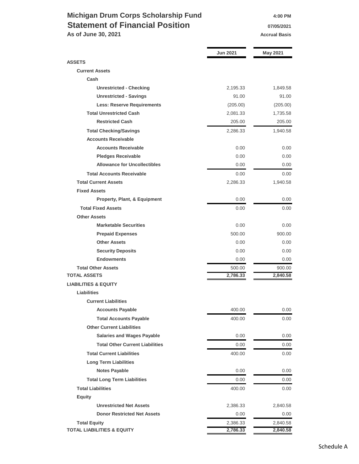### **Michigan Drum Corps Scholarship Fund 4:00 PM Statement of Financial Position 19705/2021**

**As of June 30, 2021 Accrual Basis Accrual Basis** 

|                                         | <b>Jun 2021</b> | <b>May 2021</b> |
|-----------------------------------------|-----------------|-----------------|
| <b>ASSETS</b>                           |                 |                 |
| <b>Current Assets</b>                   |                 |                 |
| Cash                                    |                 |                 |
| <b>Unrestricted - Checking</b>          | 2,195.33        | 1,849.58        |
| <b>Unrestricted - Savings</b>           | 91.00           | 91.00           |
| <b>Less: Reserve Requirements</b>       | (205.00)        | (205.00)        |
| <b>Total Unrestricted Cash</b>          | 2,081.33        | 1,735.58        |
| <b>Restricted Cash</b>                  | 205.00          | 205.00          |
| <b>Total Checking/Savings</b>           | 2,286.33        | 1,940.58        |
| <b>Accounts Receivable</b>              |                 |                 |
| <b>Accounts Receivable</b>              | 0.00            | 0.00            |
| <b>Pledges Receivable</b>               | 0.00            | 0.00            |
| <b>Allowance for Uncollectibles</b>     | 0.00            | 0.00            |
| <b>Total Accounts Receivable</b>        | 0.00            | 0.00            |
| <b>Total Current Assets</b>             | 2,286.33        | 1,940.58        |
| <b>Fixed Assets</b>                     |                 |                 |
| <b>Property, Plant, &amp; Equipment</b> | 0.00            | 0.00            |
| <b>Total Fixed Assets</b>               | 0.00            | 0.00            |
| <b>Other Assets</b>                     |                 |                 |
| <b>Marketable Securities</b>            | 0.00            | 0.00            |
| <b>Prepaid Expenses</b>                 | 500.00          | 900.00          |
| <b>Other Assets</b>                     | 0.00            | 0.00            |
| <b>Security Deposits</b>                | 0.00            | 0.00            |
| <b>Endowments</b>                       | 0.00            | 0.00            |
| <b>Total Other Assets</b>               | 500.00          | 900.00          |
| <b>TOTAL ASSETS</b>                     | 2,786.33        | 2,840.58        |
| <b>LIABILITIES &amp; EQUITY</b>         |                 |                 |
| Liabilities                             |                 |                 |
| <b>Current Liabilities</b>              |                 |                 |
| <b>Accounts Payable</b>                 | 400.00          | $0.00\,$        |
| <b>Total Accounts Payable</b>           | 400.00          | 0.00            |
| <b>Other Current Liabilities</b>        |                 |                 |
| <b>Salaries and Wages Payable</b>       | 0.00            | 0.00            |
| <b>Total Other Current Liabilities</b>  | 0.00            | $0.00\,$        |
| <b>Total Current Liabilities</b>        | 400.00          | $0.00\,$        |
| <b>Long Term Liabilities</b>            |                 |                 |
| <b>Notes Payable</b>                    | 0.00            | 0.00            |
| <b>Total Long Term Liabilities</b>      | 0.00            | $0.00\,$        |
| <b>Total Liabilities</b>                | 400.00          | 0.00            |
| <b>Equity</b>                           |                 |                 |
| <b>Unrestricted Net Assets</b>          | 2,386.33        | 2,840.58        |
| <b>Donor Restricted Net Assets</b>      | 0.00            | 0.00            |
| <b>Total Equity</b>                     | 2,386.33        | 2,840.58        |
| <b>TOTAL LIABILITIES &amp; EQUITY</b>   | 2,786.33        | 2,840.58        |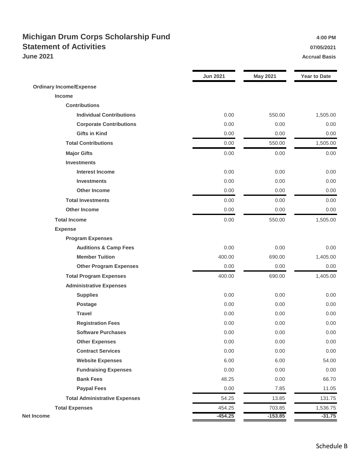### **Michigan Drum Corps Scholarship Fund 1.00 PM** 4:00 PM **Statement of Activities 07/05/2021 June 2021 Accrual Basis**

|                                      | <b>Jun 2021</b> | <b>May 2021</b> | <b>Year to Date</b> |
|--------------------------------------|-----------------|-----------------|---------------------|
| <b>Ordinary Income/Expense</b>       |                 |                 |                     |
| Income                               |                 |                 |                     |
| <b>Contributions</b>                 |                 |                 |                     |
| <b>Individual Contributions</b>      | 0.00            | 550.00          | 1,505.00            |
| <b>Corporate Contributions</b>       | 0.00            | 0.00            | 0.00                |
| <b>Gifts in Kind</b>                 | 0.00            | 0.00            | 0.00                |
| <b>Total Contributions</b>           | 0.00            | 550.00          | 1,505.00            |
| <b>Major Gifts</b>                   | 0.00            | 0.00            | 0.00                |
| <b>Investments</b>                   |                 |                 |                     |
| <b>Interest Income</b>               | 0.00            | 0.00            | 0.00                |
| <b>Investments</b>                   | 0.00            | 0.00            | 0.00                |
| <b>Other Income</b>                  | 0.00            | 0.00            | 0.00                |
| <b>Total Investments</b>             | 0.00            | 0.00            | 0.00                |
| <b>Other Income</b>                  | 0.00            | 0.00            | 0.00                |
| <b>Total Income</b>                  | 0.00            | 550.00          | 1,505.00            |
| <b>Expense</b>                       |                 |                 |                     |
| <b>Program Expenses</b>              |                 |                 |                     |
| <b>Auditions &amp; Camp Fees</b>     | 0.00            | 0.00            | 0.00                |
| <b>Member Tuition</b>                | 400.00          | 690.00          | 1,405.00            |
| <b>Other Program Expenses</b>        | 0.00            | 0.00            | 0.00                |
| <b>Total Program Expenses</b>        | 400.00          | 690.00          | 1,405.00            |
| <b>Administrative Expenses</b>       |                 |                 |                     |
| <b>Supplies</b>                      | 0.00            | 0.00            | 0.00                |
| <b>Postage</b>                       | 0.00            | 0.00            | 0.00                |
| <b>Travel</b>                        | 0.00            | 0.00            | 0.00                |
| <b>Registration Fees</b>             | 0.00            | 0.00            | 0.00                |
| <b>Software Purchases</b>            | 0.00            | 0.00            | 0.00                |
| <b>Other Expenses</b>                | 0.00            | 0.00            | 0.00                |
| <b>Contract Services</b>             | 0.00            | 0.00            | 0.00                |
| <b>Website Expenses</b>              | 6.00            | 6.00            | 54.00               |
| <b>Fundraising Expenses</b>          | 0.00            | 0.00            | 0.00                |
| <b>Bank Fees</b>                     | 48.25           | 0.00            | 66.70               |
| <b>Paypal Fees</b>                   | 0.00            | 7.85            | 11.05               |
| <b>Total Administrative Expenses</b> | 54.25           | 13.85           | 131.75              |
| <b>Total Expenses</b>                | 454.25          | 703.85          | 1,536.75            |
| <b>Net Income</b>                    | $-454.25$       | $-153.85$       | $-31.75$            |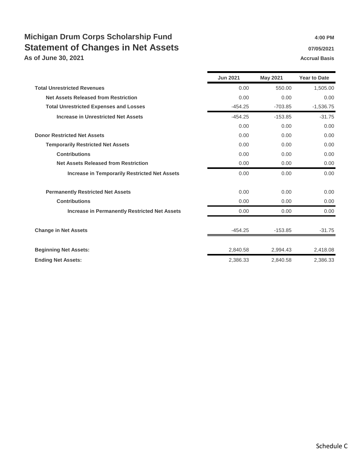## **Michigan Drum Corps Scholarship Fund 1.00 PM** 4:00 PM **Statement of Changes in Net Assets 1988 1997/05/2021**

**As of June 30, 2021 Accrual Basis**

|                                                      | <b>Jun 2021</b> | <b>May 2021</b> | <b>Year to Date</b> |
|------------------------------------------------------|-----------------|-----------------|---------------------|
| <b>Total Unrestricted Revenues</b>                   | 0.00            | 550.00          | 1,505.00            |
| <b>Net Assets Released from Restriction</b>          | 0.00            | 0.00            | 0.00                |
| <b>Total Unrestricted Expenses and Losses</b>        | $-454.25$       | $-703.85$       | $-1,536.75$         |
| <b>Increase in Unrestricted Net Assets</b>           | $-454.25$       | $-153.85$       | $-31.75$            |
|                                                      | 0.00            | 0.00            | 0.00                |
| <b>Donor Restricted Net Assets</b>                   | 0.00            | 0.00            | 0.00                |
| <b>Temporarily Restricted Net Assets</b>             | 0.00            | 0.00            | 0.00                |
| <b>Contributions</b>                                 | 0.00            | 0.00            | 0.00                |
| <b>Net Assets Released from Restriction</b>          | 0.00            | 0.00            | 0.00                |
| <b>Increase in Temporarily Restricted Net Assets</b> | 0.00            | 0.00            | 0.00                |
| <b>Permanently Restricted Net Assets</b>             | 0.00            | 0.00            | 0.00                |
| <b>Contributions</b>                                 | 0.00            | 0.00            | 0.00                |
| <b>Increase in Permanently Restricted Net Assets</b> | 0.00            | 0.00            | 0.00                |
| <b>Change in Net Assets</b>                          | $-454.25$       | $-153.85$       | $-31.75$            |
| <b>Beginning Net Assets:</b>                         | 2,840.58        | 2,994.43        | 2,418.08            |
| <b>Ending Net Assets:</b>                            | 2,386.33        | 2,840.58        | 2,386.33            |